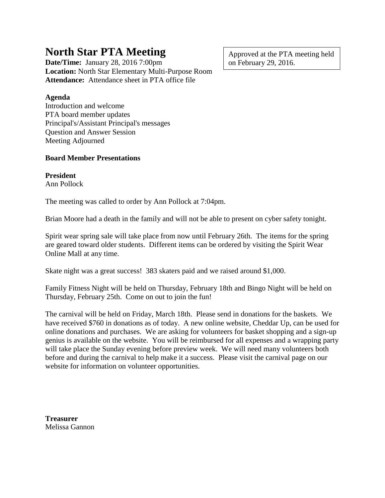# **North Star PTA Meeting**

**Date/Time:** January 28, 2016 7:00pm **Location:** North Star Elementary Multi-Purpose Room **Attendance:** Attendance sheet in PTA office file

### **Agenda**

Introduction and welcome PTA board member updates Principal's/Assistant Principal's messages Question and Answer Session Meeting Adjourned

#### **Board Member Presentations**

**President** Ann Pollock

The meeting was called to order by Ann Pollock at 7:04pm.

Brian Moore had a death in the family and will not be able to present on cyber safety tonight.

Spirit wear spring sale will take place from now until February 26th. The items for the spring are geared toward older students. Different items can be ordered by visiting the Spirit Wear Online Mall at any time.

Skate night was a great success! 383 skaters paid and we raised around \$1,000.

Family Fitness Night will be held on Thursday, February 18th and Bingo Night will be held on Thursday, February 25th. Come on out to join the fun!

The carnival will be held on Friday, March 18th. Please send in donations for the baskets. We have received \$760 in donations as of today. A new online website, Cheddar Up, can be used for online donations and purchases. We are asking for volunteers for basket shopping and a sign-up genius is available on the website. You will be reimbursed for all expenses and a wrapping party will take place the Sunday evening before preview week. We will need many volunteers both before and during the carnival to help make it a success. Please visit the carnival page on our website for information on volunteer opportunities.

**Treasurer** Melissa Gannon Approved at the PTA meeting held on February 29, 2016.